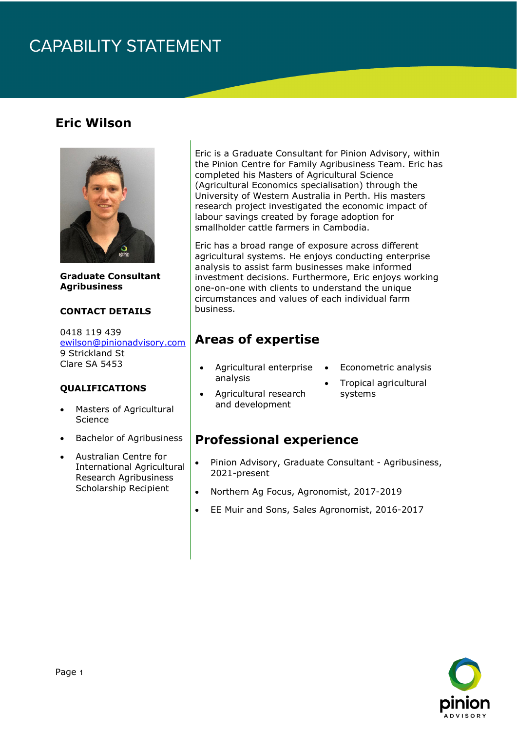# **CAPABILITY STATEMENT**

### **Eric Wilson**



**Graduate Consultant Agribusiness**

#### **CONTACT DETAILS**

0418 119 439 [ewilson@pinionadvisory.com](mailto:ewilson@pinionadvisory.com) 9 Strickland St Clare SA 5453

#### **QUALIFICATIONS**

- Masters of Agricultural **Science**
- Bachelor of Agribusiness
- Australian Centre for International Agricultural Research Agribusiness Scholarship Recipient

Eric is a Graduate Consultant for Pinion Advisory, within the Pinion Centre for Family Agribusiness Team. Eric has completed his Masters of Agricultural Science (Agricultural Economics specialisation) through the University of Western Australia in Perth. His masters research project investigated the economic impact of labour savings created by forage adoption for smallholder cattle farmers in Cambodia.

Eric has a broad range of exposure across different agricultural systems. He enjoys conducting enterprise analysis to assist farm businesses make informed investment decisions. Furthermore, Eric enjoys working one-on-one with clients to understand the unique circumstances and values of each individual farm business.

### **Areas of expertise**

- Agricultural enterprise analysis
- Econometric analysis
- Agricultural research and development
- Tropical agricultural systems

#### **Professional experience**

- Pinion Advisory, Graduate Consultant Agribusiness, 2021-present
- Northern Ag Focus, Agronomist, 2017-2019
- EE Muir and Sons, Sales Agronomist, 2016-2017